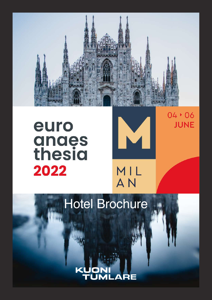

# euro **anaes**<br>thesia 2022



04 \* 06

**JUNE** 

MIL<br>AN

## Hotel Brochure

**JML**  $\overline{\mathbf{A}}$  $\overline{\phantom{a}}$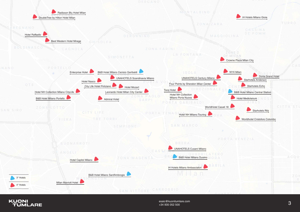esaic@kuonitumlare.com<br>+34 935 052 500<br>+34 935 052 500 +34 935 052 500





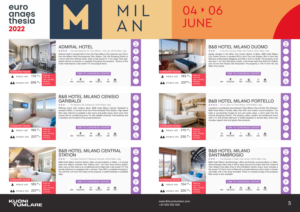



# 04 + 06 **JUNF**

5 esaic@kuonitumlare.com +34 935 052 500



## ADMIRAL HOTEL

**★ ★ ★ ★** Via Domodossola 16, Fiera Milano - City Life, 20145 Milan, Italy

## B&B HOTEL MILANO CENISIO **GARIBALDI**

**★ ★ ★** ★ Via Messina 38, Sempione, 20154 Milan, Italy

Admiral Hotel is located 300 m from the Fiera Milano City trade fair and 150 m from the Milano Nord Domodossola Train Station. City Life Shopping District is a short walk from Admiral Hotel, while Linate Airport is 11 km away. Free highspeed internet connection is available throughout the property. Rooms at this 4-star hotel feature a flat-screen TV and parquet floors.



### B&B HOTEL MILANO CENTRAL **STATION**

**★ ★ ★** ★ ★ Via Napo Torriani 9, Stazione Centrale, 20124 Milan, Italy



Offering rooms with modern décor, B&B Hotel Milano Cenisio Garibaldi is located in Milan, 5 minutes' drive from Porta Garibaldi Train Station. High speed fiber optic internet is available in the rooms and public areas. Each room here comes with air conditioning and a TV with satellite channels. Free toiletries and a hairdryer are included in the private bathroom.

|                 | TIME TO CONGRESS CENTER |                  |               |                  |                  |
|-----------------|-------------------------|------------------|---------------|------------------|------------------|
| ٠<br><b>MIN</b> | <b>WALKING</b>          | 18<br><b>MIN</b> | <b>PUBLIC</b> | 12<br><b>MIN</b> | a<br><b>TAXI</b> |



**KUONI** 

**TUMLARE** 

B&B Hotel Milano Central Station offers accommodation in Milan, a 5-minute walk from Milano Centrale Train Station and 1 km from Porta Nuova district. Each room at this hotel is air conditioned and is fitted with a flat-screen TV. The private bathroom is equipped with a shower. Free WiFi is available throughout. .<br>You will find a 24-hour front desk at the property. A buffet breakfast is available daily.

## B&B HOTEL MILANO **SANT'AMBROGIO**





TIME TO CONGRESS CENTER 28<br><sub>MIN</sub>  $\qquad \qquad \qquad \qquad \Box$ 11 £

**PUBLIC** 



## B&B HOTEL MILANO DUOMO

**★★★★** 2 Via San Tomaso, Milan City Centre, 20121 Milan, Italy

Ideally situated in the Milan City Centre district of Milan, B&B Hotel Milano City Center Duomo is situated 500 m from The Last Supper, 600 m from San Maurizio al Monastero Maggiore and 600 m from La Scala. The property is set less than 1 km from Sforzesco Castle, a 20-minute walk from Brera Art Gallery and 2.9 km from Museo Del Novecento. The property is 700 m from the city Milan City Centre.



|            | TIME TO CONGRESS CENTER |                  |                    |                  |                  |
|------------|-------------------------|------------------|--------------------|------------------|------------------|
| <b>MIN</b> | <b>WALKING</b>          | 27<br><b>MIN</b> | ⊟<br><b>PUBLIC</b> | 17<br><b>MIN</b> | a<br><b>TAXI</b> |





B&B HOTEL MILANO PORTELLO

\* \* \* \* \* Via G. Silva 12, Fiera Milano, 20149 Milan, Italy



**★★★★**★★★ Via Olivetani 4, Milan City Centre, 20143 Milan, Italy

Located in a residential area between Fiera Milano City and San Siro Stadium, B&B Hotel Milano Portello offers free WiFi and modern accommodation. The hotel is conveniently located by bus and metro stops, a short walk from the CityLife Shopping District. The property offers modern air-conditioned rooms with a TV and private bathroom. A buffet breakfast is served daily, which also includes organic food and gluten-free products.





B&B Hotel Milano Sant'Ambrogio offers pet-friendly accommodation in Milan. Sant'ambrogio metro stop is 450 m away and just one metro stop from Cadorna Train Station that offers links to Rho Exhibition Centre. Every room includes a flat-screen TV. Each room is fitted with a private bathroom with a bath or shower and bidet, with a hair dryer provided. There is a shared lounge at the property. Bike rental is also available.



MIN TAXI

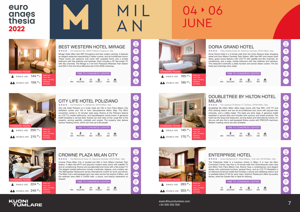

# 04 + 06 **IUNF**

7 esaic@kuonitumlare.com +34 935 052 500



 $\clubsuit$  DOUBLE USE 249.00  $\epsilon$ 

**★★★★** Viale Andrea Doria 22, Stazione Centrale, 20124 Milan, Italy



## BEST WESTERN HOTEL MIRAGE

**★★★★** Via Valassina 95, 20037 Paderno Dugnano, Italy

Mirage Hotel offers free WiFi throughout and free outdoor parking. It features an elegant restaurant specialising in Italian cuisine, and air-conditioned rooms. These rooms are spacious and come with carpeted floors and a private bathroom with free toiletries and hairdryer. Each includes a 32" flat-screen TV with Sky channels. The Mirage is 2 km from Palazzolo Milanese Train Station and 500 m from the Nova Milanese exit of the SS35 motorway.







## CITY LIFE HOTEL POLIZIANO

Via Poliziano 11, Sempione, 20154 Milan, Italy

City Life Hotel Polizano is a 4-star hotel set 750 m from Fiera Milano City exhibition centre and 100 m from Gerusalemme Metro Stop. The MiCo convention centre is 10 minutes' walk away. Rooms at the Poliziano feature an LCD TV, marble bathrooms, and hypoallergenic duvet-covers. A generous buffet breakfast is served daily. Guests can also relax at the Lunge Bar at the property, serving aperitifs, cocktails and snacks. The property also feature various meeting rooms, which can host up to 80 people.

### TIME TO CONGRESS CENTER

| 10 <sup>10</sup> |                | 9          | ⊟.     | 13         | $\bullet$   |  |
|------------------|----------------|------------|--------|------------|-------------|--|
| <b>MIN</b>       | <b>WALKING</b> | <b>MIN</b> | PUBLIC | <b>MIN</b> | <b>TAXI</b> |  |

night, including breakfast and taxes.



## CROWNE PLAZA MILAN CITY

Via Melchiorre Gioia 73, Stazione Centrale, 20124 Milan, Italy

## ENTERPRISE HOTEL **★★★★** ★ Corso Sempione 91, Fiera Milano - City Life, 20149 Milan, Italy

Crowne Plaza Milan City is located just 600 m from Milano Centrale Train Station. It offers free Wi-Fi and spacious modern-style rooms with satellite TV and air conditioning. Rooms are soundproofed and come with a flat-screen TV. The elegant marble bathrooms include a bathrobe, slippers, and a toiletry set. The Metropolitan Restaurant serves international cuisine for lunch and dinner. The Milan City's well-equipped gym has views across the skyline of Milan, and the wellness area offers a Turkish bath, a sauna, and beauty treatments on request.







## DORIA GRAND HOTEL

Doria Grand Hotel is a 5-minute walk from the Corso Buenos Aires shopping street and from Milano Centrale Train Station. With free WiFi and classic-style décor, guest rooms feature a 26" LCD TV with satellite and Sky channels, air conditioning, and a large, marble bathroom with free toiletries and hairdryer. The restaurant overlooks a pretty fountain and serves Italian cuisine. The bar hosts jazz evenings every week.



|            | TIME TO CONGRESS CENTER |                  |                    |                  |           |
|------------|-------------------------|------------------|--------------------|------------------|-----------|
| <b>MIN</b> | <b>WALKING</b>          | 28<br><b>MIN</b> | ⊷<br><b>PUBLIC</b> | 22<br><b>MIN</b> | a<br>TAXI |



## DOUBLETREE BY HILTON HOTEL

**★★★★** Via Ludovico Di Breme 77, Certosa, 20156 Milan, Italy







Doubletree By Hilton Milan offers large rooms with free WiFi, LCD TV and iPod docking station and are all air-conditioned and come with pay-per-view channels, and a coffee maker. The beds are extra large. A generous buffet breakfast is served daily and includes both savoury and sweet products. The hotel has the Glass bar-restaurant, serving Italian and international cuisine. On site you will also find a well-equipped fitness centre with PRECOR machines. Modern meeting rooms are also available.

TIME TO CONGRESS CENTER





The Enterprise Hotel is a luxurious choice in Milan. It is near the Mico Convention Centre, less than a 10-minute walk from Domodossola metro stop and 850m from Fiera Milano City. Rooms have a contemporary and elegant design with customised furniture, parquet floors, and an LCD TV. Breakfast is an extensive American buffet that includes a natural and wellbeing section and is available before 07:00 for early risers. Sophia's Restaurant offers top-quality dishes, while the Garden Bar is ideal for relaxing.



| 术              | 10         | Q             | 8          | ⊖           |
|----------------|------------|---------------|------------|-------------|
| <b>NALKING</b> | <b>MIN</b> | <b>PUBLIC</b> | <b>MIN</b> | <b>TAXI</b> |
|                |            |               |            |             |

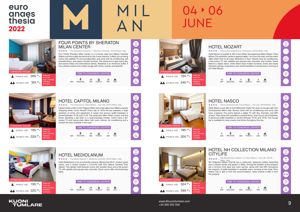



# 04 06 **IUNF**

9 esaic@kuonitumlare.com +34 935 052 500

## **KUONI TUMLARE**

**★★★★** N Piazza Gerusalemme 6, Sempione, 20154 Milan, Italy



### FOUR POINTS BY SHERATON MILAN CENTER

 $\div$  $\div$  $\div$   $\div$  Via Gerolamo Cardano 1. Stazione Centrale, 20124 Milan, Italy

Four Points Sheraton Milan Center is a 5-minute walk from Milano Centrale Station and the shuttle bus terminal for the 3 main airports. It offers non-smoking rooms with satellite TV and soundproofed, and come with air conditioning, soft carpeted floors, and classic wooden furniture. The restaurant is open every day, and serves Italian and international dishes. Breakfast is an American buffet. It has a fitness centre and a lobby lounge with drinks, snacks and aperitifs.





Hotel Mediolanum is an eco-friendly property offering free Wi-Fi, modern guest rooms, and a central location a 5-minute walk from Milano Centrale Train Station. This design hotel features rooms with wooden floors and a flat-screen TV with satellite and pay-per-view channels. Some rooms offer chromotherapy lights

## HOTEL CAPITOL MILANO

Via Cimarosa 6, Fiera Milano - City Life, 20144 Milan, Italy

Capitol Hotel is 250 m from Pagano Metro and a few steps from Milan's popular shopping street, Corso Vercelli. Every day at 18:00 the bar prepares a large selection of wines and appetizers. A sweet and savoury buffet breakfast is served between 07:00 and 11:00. The restaurant offers Italian cuisine and fine wines. Boasting a spa bath or a hydromassage shower, rooms have a flatscreen TV and classic-style décor with warm colours. Air conditioning and a minibar are also available in the room.

|                 | TIME TO CONGRESS CENTER |                  |               |            |                  |
|-----------------|-------------------------|------------------|---------------|------------|------------------|
| ٠<br><b>MIN</b> | <b>WALKING</b>          | 22<br><b>MIN</b> | <b>PUBLIC</b> | <b>MIN</b> | ⊖<br><b>TAXI</b> |



## HOTEL MEDIOLANUM

Via Mauro Macchi 1, Stazione Centrale, 20124 Milan, Italy

**★★★★**★ Corso Sempione 69, Fiera Milano - City Life, 20149 Milan, Italy Hotel Nasco is just 300 m from Milanocity Trade Fair and a 5-minute walk from Domodossola Metro stop. Rooms come with air conditioning and some also have a balcony. The rooms feature a digital TV with Sky channels, and WiFi access. They come with carpeted or parquet floors, and a luxury set of toiletries. A generous buffet breakfast is served between 07:00 and 10:00. The lounge bar is available for tasty snacks and drinks throughout the day.

### TIME TO CONGRESS CENTER - 28<br><sub>MIN</sub>  $\blacksquare$ 21 A PUBLIC MIN WALKING MIN TAXI



<del>★★★★</del> Via Bartolomeo Colleoni 14, Fiera Milano - City Life, 20149<br>Milan, Italy<br>NH Collection Milano CityLife has a restaurant, seasonal outdoor swimming pool, a fitness centre and garden in Milan. Among the facilities at this property are a 24-hour front desk and room service, along with free WiFi throughout the property. A buffet breakfast is available every morning at the hotel. Fiera Milano City is 300 m from the accommodation, while CityLife is 600 m from the property.





Hotel Mozart is located at 100 m from Milan Gerusalemme Metro Station. Fiera Milano City exhibition centre is approximately 1 km from the hotel, and the metro offers direct links to all major attractions in town. Rooms have air conditioning, a flat-screen TV with satellite and pay-per-view channels, and minibar. Some feature a classic décor, while others have modern furniture. Some also boast frescoed ceilings. A generous and varied breakfast is served every morning at the Hotel Mozart.



| TIME TO CONGRESS CENTER |            |               |            |             |
|-------------------------|------------|---------------|------------|-------------|
| WALKING                 | 11         | ⊟             | 5          | Q           |
|                         | <b>MIN</b> | <b>PUBLIC</b> | <b>MIN</b> | <b>TAXI</b> |





## HOTEL NASCO



| <b>TIME TO CONGRESS CENTER</b> |            |               |          |             |
|--------------------------------|------------|---------------|----------|-------------|
| <b>WALKING</b>                 | <b>MIN</b> | <b>PUBLIC</b> | З<br>MIN | <b>TAXI</b> |



## **CITYLIFE**

## HOTEL NH COLLECTION MILANO

Via Bartolomeo Colleoni 14, Fiera Milano - City Life, 20149



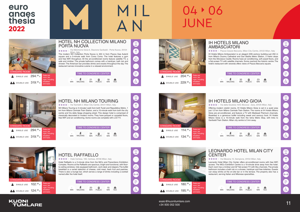



# 04 + 06 **IUNF**

11 esaic@kuonitumlare.com +34 935 052 500





 $\clubsuit$  DOUBLE USE 319.00  $\epsilon$ 

breakfast and taxes.

### HOTEL NH COLLECTION MILANO PORTA NUOVA

Via Melchiorre Gioia 6, Stazione Garibaldi - Porta Nuova, 20124

The modern NH Collection Porta Nuova is 450 m from Piazza Gae Aulenti square and a 5-minute walk from Corso Como. The hotel features a gym and free WiFi throughout. All the air-conditioned rooms feature satellite TV, a safe and minibar. The private bathroom comes with a hairdryer, bath tub and shower. The American bar provides drinks and snacks throughout the day. The restaurant serves innovative cuisine in a relaxed environment.





## HOTEL NH MILANO TOURING

**★★★★** Via Tarchetti 2, Milan City Centre, 20121 Milan, Italy

IH Hotels Milano Ambasciatori is an elegant 20th-century building just 250 m from Milan's Duomo Cathedral and San Babila Metro Station, 3 metro stops from the Sforzesco Castle. Rooms have air conditioning, soft carpet floors, and a flat-screen TV with satellite channels. Some overlook the historic centre. The hotel's restaurant with veranda offers views of Piazza Beccaria square.

NH Milano Touring is 3 minutes' walk from both Turati and Repubblica Metro, 1 km from Milano Centrale Train Station, and a 15-minute walk from both the city centre and Via della Spiga shopping street. This design hotel is comprised of classically decorated or modern rooms. They have parquet or carpeted floors, free WiFi and air conditioning. Some rooms are complete with LCD TV.

|            | TIME TO CONGRESS CENTER |            |               |            |             |
|------------|-------------------------|------------|---------------|------------|-------------|
| ۰          | <b>WALKING</b>          | 34         | ▭             | 16         | $\triangle$ |
| <b>MIN</b> |                         | <b>MIN</b> | <b>PUBLIC</b> | <b>MIN</b> | <b>TAXI</b> |



## HOTEL RAFFAELLO

Viale Certosa, 108, Certosa, 20156 Milan, Italy

Hotel Raffaello is a 2-minute drive from the MiCo and Fieramilano Exhibition Complex. Rooms at the Raffaello are spacious, bright and functional, with floorto-ceiling windows, fully equipped bathroom, work desk and slippers.The buffet breakfast is a varied selection of cheese, cold meat, fresh fruit and pastries. There is also a lounge bar, which serves a range of drinks including a cocktail named after the hotel itself.

### TIME TO CONGRESS CENTER - 20<br><sub>MIN</sub>  $\blacksquare$ 15 A PUBLIC MIN WALKING MIN TAXI



Rates per room, per night, including breakfast and taxes.



## IH HOTELS MILANO

**★★★★**★ Piazza Cesare Beccaria, Milan City Centre, 20122 Milan, Italy





|            |                | TIME TO CONGRESS CENTER |                    |                  |                  |  |  |  |
|------------|----------------|-------------------------|--------------------|------------------|------------------|--|--|--|
| <b>MIN</b> | <b>WALKING</b> | 32<br><b>MIN</b>        | ⊟<br><b>PUBLIC</b> | 23<br><b>MIN</b> | Q<br><b>TAXI</b> |  |  |  |





Offering modern stylish rooms, IH Hotels Milano Gioia is set in a quiet area just 1.5 km from Milano Centrale Train Station. The rooms at IH Hotels Milano Gioia are air-conditioned, and feature a TV with Mediaset Premium channels. Breakfast is a generous buffet including sweet and savoury food. IH Hotels Milano Gioia is a 15-minute walk from the Istria Metro Stop, with links to Garibaldi Train Station. Milan city centre is 5 km away.



| TIME TO CONGRESS CENTER |           |                    |           |             |
|-------------------------|-----------|--------------------|-----------|-------------|
| <b>WALKING</b>          | 31<br>MIN | ⊟<br><b>PUBLIC</b> | 20<br>MIN | <b>TAXI</b> |



## **CENTER**

## LEONARDO HOTEL MILAN CITY

**★★★★** Via Messina 10, Sempione, 20154 Milan, Italy

Leonardo Hotel Milan City Center offers air-conditioned rooms with free WiFi access. The MiCo Exhibition Centre is a 10-minute drive away from the hotel. Each room has a minibar and 32" flat-screen TV with Sky channels. The private bathroom includes a bath tub or a shower, hairdryer and free toiletries. Guests can enjoy drinks at the on-site bar or in the terrace. The property also has a restaurant, serving Italian and Milanese specialities.



| TIME TO CONGRESS CENTER |            |               |     |             |  |
|-------------------------|------------|---------------|-----|-------------|--|
| 不                       | 21         | ⊟             | 11  | ≏           |  |
| <b>NALKING</b>          | <b>MIN</b> | <b>PUBLIC</b> | MIN | <b>TAXI</b> |  |



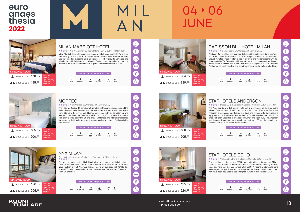

# 04 06 **JUNF**

13 esaic@kuonitumlare.com +34 935 052 500



**★★★★** Via Villapizzone 24, Certosa, 20156 Milan, Italy



## MILAN MARRIOTT HOTEL

**★★★★** Via Washington 66, Fiera Milano - City Life, 20146 Milan, Italy

Milan Marriott Hotel offers spacious rooms with flat-screen satellite TV and air conditioning. It is 600 m from Wagner Metro Station. With wooden furniture and carpeted floors, rooms have an elegant feel. They provide a minibar and a bathroom with hairdryer and toiletries. Featuring an open-view kitchen, La Brasserie de Milan restaurant offers regional and Mediterranean cuisine.







## MORFEO

**★★★★** Viale Certosa 68, Certosa, 20155 Milan, Italy

The Hotel Morfeo is a 15-minute walk from the Mi.Co convention centre and the Fiera Milano City fair. Set opposite il Portello shopping centre, it is a 20-minute tram ride from the city centre. Rooms here come with air conditioning and parquet floors. Each one features a minibar and pay-TV channels. The marble bathroom is complete with bath and shower. Milanese and international dishes are served at the Hotel's restaurant. A generous hot and cold buffet is available for breakfast.

|                  | TIME TO CONGRESS CENTER |                  |               |                 |      |
|------------------|-------------------------|------------------|---------------|-----------------|------|
| 15<br><b>MIN</b> | <b>WALKING</b>          | 12<br><b>MIN</b> | <b>PUBLIC</b> | 8<br><b>MIN</b> | TAXI |



### NYX MILAN Piazza Quattro Novembre 3, Stazione Centrale, 20124 Milan, Italy Featuring an inner garden, NYX Hotel Milan by Leonardo Hotels is located in

Milan, a 3-minute walk from Stazione Centrale Train Station and 1.5 km from Milan Fashion District. All air-conditioned, rooms are equipped with 40" HD flatscreen TV, and a private bathroom with a shower and free toiletries. Towels and linen are provided.

## STARHOTELS ECHO **★★★★** Viale Andrea Doria 4, Stazione Centrale, 20124 Milan, Italy

### TIME TO CONGRESS CENTER - 28<br><sub>MIN</sub>  $\qquad \qquad \qquad \Box$ 20 ♠ PUBLIC MIN WALKING MIN TAXI





## RADISSON BLU HOTEL MILAN

Radisson Blu Hotel is a design property located in a quiet area 5 minutes' walk from Villapizzone Train Station. The MiCo Congress Centre can be reached in about 5 minutes by car. It offers a free relax area, and modern rooms with flatscreen satellite TV. Decorated with earth tones and contemporary furnishings, rooms at the Radisson Blu Hotel Milan have an elegant feel. The Leonardo Restaurant serves innovative and creative dishes, mixed with Italian tradition.



|            | TIME TO CONGRESS CENTER |                  |               |                  |                  |
|------------|-------------------------|------------------|---------------|------------------|------------------|
| <b>MIN</b> | <b>WALKING</b>          | 24<br><b>MIN</b> | <b>PUBLIC</b> | 17<br><b>MIN</b> | ≏<br><b>TAXI</b> |







## STARHOTELS ANDERSON

**★★★★**★ Piazza Luigi di Savoia 20, Stazione Centrale, 20124 Milan, Italy

The Anderson is a stylish design hotel set in an impressive building facing Milano Centrale Train Station, hub with metro lines. Rooms at Starhotels Anderson are spacious and feature a unique and refined style. Each room is equipped with a Starbed soft feather bed, a TV with satellite channels, and a large bathroom. Breakfast is a varied buffet, including fresh fruit. The Anderson also features 4 meeting rooms, which can host up to 50 people, providing an ideal solution for business or private events.

 $MIN$ 







This eco-friendly hotel has free WiFi throughout and is just 200 m from Milano Centrale Train Station. Its modern rooms are decorated with soothing tones of beige and floral wall art, and provide a 32" LCD TV. Rooms at Starhotels Echo have elegant parquet floors and contemporary furnishings. All air conditioned, they have been designed to use energy and water in a sustainable way.



### TIME TO CONGRESS CENTER 介 27  $\qquad \qquad \qquad \qquad \Box$ 23 a MIN PUBLIC MIN TAXI

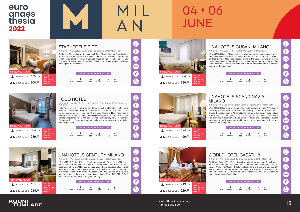

# 04 + 06 **IUNF**

15 esaic@kuonitumlare.com +34 935 052 500



 $200.00$ <sub>€</sub>

breakfast and taxes.

## STARHOTELS RITZ

Via Spallanzani 40, Stazione Centrale, 20129 Milan, Italy

Starhotels Ritz is also a 10-minute walk from Milano Centrale Train Station. Rooms at the Ritz feature a 20-inch LCD TV with satellite channels, air conditioning, carpet floors and furniture made of wood, leather and velvet. There are 7 meeting rooms at the Ritz, providing the perfect venue for business meetings or private events.





## TOCQ HOTEL

Via A. de Tocqueville 7/D, Stazione Garibaldi - Porta Nuova, 20154 Milan, Italy

Hotel Tocq is 100 m from Corso Como, a fashionable street with many restaurants, bars and designer shops. Milan's Cathedral, the Duomo, can be reached by Metro in less than 10 minutes. Rooms at Hotel Tocq have a modern style created by light-coloured walls and light-wood furniture. Facilities include a minibar and a TV with satellite, cable and free pay-per-view channels. Restaurant Tocq offers an elegant atmosphere and an extensive list of Italian and foreign wines.

## TIME TO CONGRESS CENTER

| ٠<br><b>MIN</b> | $\sim$<br>WALKING | <b>MIN</b> | PUBLIC | <b>MIN</b> | TAXI |  |
|-----------------|-------------------|------------|--------|------------|------|--|
|                 |                   |            |        |            |      |  |



**KUONI** 

**TUMLARE** 

## UNAHOTELS CENTURY MILANO

Via Fabio Filzi 25/B, Stazione Centrale, 20124 Milan, Italy

UNAHOTELS Century Milano offers large suites with TV and free WiFi, and a varied American breakfast. It is just 200 m from Milan Central Station. Each junior suite at the UNAHOTELS Century Milano has a spacious office lounge area. All air-conditioned, they also feature a minibar and luxury bathroom with toiletries made with natural ingredients. You will also find an à la carte restaurant serving Italian and international dishes. The UNAHOTELS Café provides snacks and drinks throughout the day.

### TIME TO CONGRESS CENTER 30<br><sub>MIN</sub>  $\qquad \qquad \qquad \qquad \Box$ 20 A

**PUBLIC** 







## UNAHOTELS CUSANI MILANO

**★★★★** Via Cusani 13, Milan City Centre, 20121 Milan, Italy





UNAHOTELS Cusani Milano is close to Milan's renowned shopping area and is 10 minutes' walk from Milan Cathedral. It is 600 m from Cadorna Train Station for direct trains to Malpensa Airport. Rooms at the Cusani feature modern or classic-style décor, air conditioning and a safe, as well as a minibar and flatscreen satellite TV. This 4-star hotel has a 24-hour reception and a number of modern conference rooms.





## UNAHOTELS SCANDINAVIA

**★ ★ ★ ★** Via Giovanni Battista Fauchè, Sempione, 20154 Milan, Italy

**★★★★** Via Felice Casati 18, Stazione Centrale, 20124 Milan, Italy

# MILANO

UNAHOTELS Scandinavia Milano offers modern rooms with free WiFi. Guests can enjoy the free sauna and gym. The property is 1 km from Milan's MiCo CityLife Exhibition Centre. Air-conditioned rooms at the Scandinavia include a flat-screen TV, mahogany wood furnishings, and a minibar. The private bathroom has a hairdryer and aloe toiletries. Italian and international cuisine are served at the UNA restaurant with garden, while you can enjoy drinks and snacks at the lounge bar.





## WORLDHOTEL CASATI 18

WorldHotel Casati 18 is a 5-minute walk from the shopping street Corso Buenos Aires. It offers free WiFi throughout and a varied American buffet breakfast. The elegant WorldHotel Casati 18 features classic-style interiors and lounges with leather sofas. A free internet point is located in the lobby. Rooms are stylish and come with dark-wood furniture. Facilities include an LCD TV with satellite channels and tea/coffee facilities.



MIN TAXI

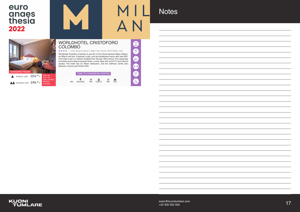## euro anaes<br>thesia 2022



## **Notes**

esaic@kuonitumlare.com<br>+34,935,052,500<br>+34,935,052,500 +34 935 052 500



and taxes.



### WORLDHOTEL CRISTOFORO COLOMBO

**★★★★**☆ Corso Buenos Aires 3, Milan City Centre, 20124 Milan, Italy

Worldhotel Cristoforo Colombo is just 20 m from Porta Venezia Metro Station, on Milan's red line. It features a spa, and air-conditioned rooms with free WiFi. The hotel is set in a historic building from the late 19th century. The classically furnished rooms feature parquet floors, a work desk with smart TV and internet access. The hotel has an Italian restaurant, and the wellness centre also features a sauna and Turkish bath.



 $\mathbb{H}$ 

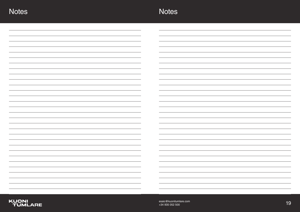esaic@kuonitumlare.com<br>
+34 935 052 500<br>
+34 935 052 500 +34 935 052 500





| <u> 1989 - Andrea Stadt Britain, amerikansk politik (</u>                       | and the state of the state of                                                                                          |
|---------------------------------------------------------------------------------|------------------------------------------------------------------------------------------------------------------------|
|                                                                                 |                                                                                                                        |
|                                                                                 |                                                                                                                        |
|                                                                                 | and the control of the control of the                                                                                  |
|                                                                                 |                                                                                                                        |
|                                                                                 |                                                                                                                        |
|                                                                                 |                                                                                                                        |
|                                                                                 |                                                                                                                        |
|                                                                                 |                                                                                                                        |
| <u> 1989 - Johann Barnett, fransk politiker (d. 1989)</u>                       | <u> 1989 - Johann Stoff, deutscher Stoffen und der Stoffen und der Stoffen und der Stoffen und der Stoffen und der</u> |
|                                                                                 |                                                                                                                        |
|                                                                                 |                                                                                                                        |
|                                                                                 |                                                                                                                        |
|                                                                                 |                                                                                                                        |
|                                                                                 |                                                                                                                        |
| <u> 1989 - Andrea Andrew Maria (h. 1989).</u><br>1905 - Andrew Maria (h. 1906). | <u> 1989 - Johann Stein, markin sanat masjid asl a shekara ta 1989 - An an tsarani a shekara ta 1989 - An an tsa</u>   |
|                                                                                 |                                                                                                                        |
|                                                                                 |                                                                                                                        |
| <u>experimental</u> control of the control                                      |                                                                                                                        |
|                                                                                 |                                                                                                                        |
|                                                                                 |                                                                                                                        |
|                                                                                 | <u> 1989 - Johann Stoff, amerikansk politiker (d. 1989)</u>                                                            |
|                                                                                 |                                                                                                                        |